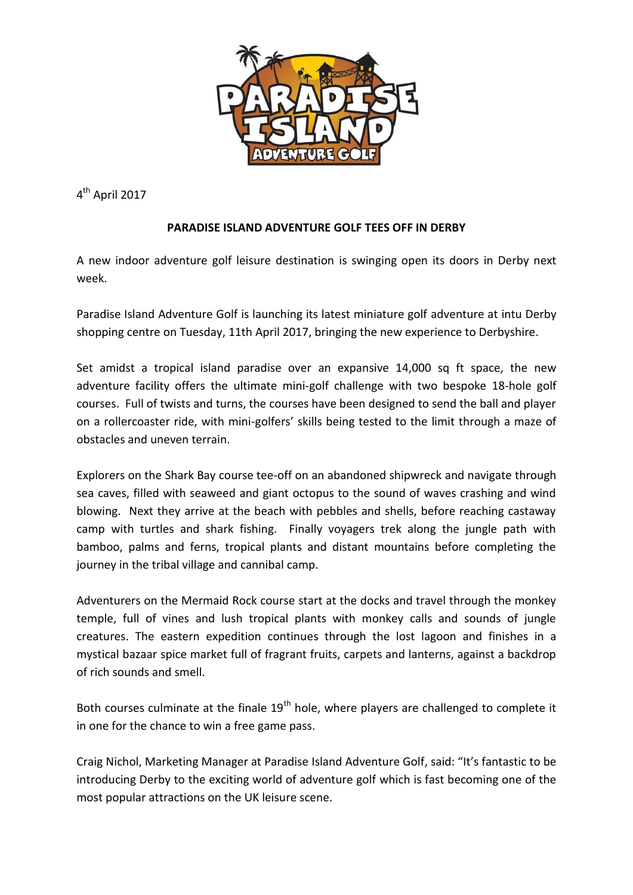

4<sup>th</sup> April 2017

## **PARADISE ISLAND ADVENTURE GOLF TEES OFF IN DERBY**

A new indoor adventure golf leisure destination is swinging open its doors in Derby next week.

Paradise Island Adventure Golf is launching its latest miniature golf adventure at intu Derby shopping centre on Tuesday, 11th April 2017, bringing the new experience to Derbyshire.

Set amidst a tropical island paradise over an expansive 14,000 sq ft space, the new adventure facility offers the ultimate mini-golf challenge with two bespoke 18-hole golf courses. Full of twists and turns, the courses have been designed to send the ball and player on a rollercoaster ride, with mini-golfers' skills being tested to the limit through a maze of obstacles and uneven terrain.

Explorers on the Shark Bay course tee-off on an abandoned shipwreck and navigate through sea caves, filled with seaweed and giant octopus to the sound of waves crashing and wind blowing. Next they arrive at the beach with pebbles and shells, before reaching castaway camp with turtles and shark fishing. Finally voyagers trek along the jungle path with bamboo, palms and ferns, tropical plants and distant mountains before completing the journey in the tribal village and cannibal camp.

Adventurers on the Mermaid Rock course start at the docks and travel through the monkey temple, full of vines and lush tropical plants with monkey calls and sounds of jungle creatures. The eastern expedition continues through the lost lagoon and finishes in a mystical bazaar spice market full of fragrant fruits, carpets and lanterns, against a backdrop of rich sounds and smell.

Both courses culminate at the finale  $19<sup>th</sup>$  hole, where players are challenged to complete it in one for the chance to win a free game pass.

Craig Nichol, Marketing Manager at Paradise Island Adventure Golf, said: "It's fantastic to be introducing Derby to the exciting world of adventure golf which is fast becoming one of the most popular attractions on the UK leisure scene.